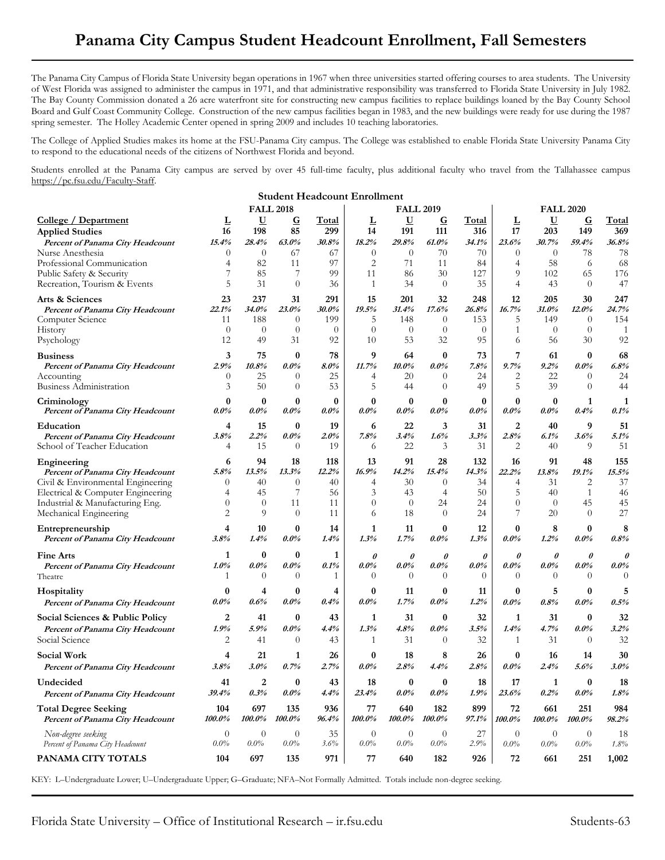## **Panama City Campus Student Headcount Enrollment, Fall Semesters**

The Panama City Campus of Florida State University began operations in 1967 when three universities started offering courses to area students. The University of West Florida was assigned to administer the campus in 1971, and that administrative responsibility was transferred to Florida State University in July 1982. The Bay County Commission donated a 26 acre waterfront site for constructing new campus facilities to replace buildings loaned by the Bay County School Board and Gulf Coast Community College. Construction of the new campus facilities began in 1983, and the new buildings were ready for use during the 1987 spring semester. The Holley Academic Center opened in spring 2009 and includes 10 teaching laboratories.

The College of Applied Studies makes its home at the FSU-Panama City campus. The College was established to enable Florida State University Panama City to respond to the educational needs of the citizens of Northwest Florida and beyond.

Students enrolled at the Panama City campus are served by over 45 full-time faculty, plus additional faculty who travel from the Tallahassee campus https://pc.fsu.edu/Faculty-Staff.

| <b>Student Headcount Enrollment</b>                                  |                     |                           |                      |              |                        |                     |                      |              |                           |                     |                      |              |
|----------------------------------------------------------------------|---------------------|---------------------------|----------------------|--------------|------------------------|---------------------|----------------------|--------------|---------------------------|---------------------|----------------------|--------------|
|                                                                      |                     |                           | <b>FALL 2018</b>     |              | <b>FALL 2019</b>       |                     |                      |              | <b>FALL 2020</b>          |                     |                      |              |
| College / Department                                                 | L                   | <u>U</u>                  | $\bf G$              | Total        | L                      | <u>U</u>            | $\mathbf G$          | Total        | L                         | $\mathbf U$         | $\mathbf G$          | Total        |
| <b>Applied Studies</b>                                               | 16                  | 198                       | 85                   | 299          | 14                     | 191                 | 111                  | 316          | 17                        | 203                 | 149                  | 369          |
| Percent of Panama City Headcount                                     | 15.4%               | 28.4%                     | 63.0%                | 30.8%        | 18.2%                  | 29.8%               | 61.0%                | 34.1%        | 23.6%                     | 30.7%               | 59.4%                | 36.8%        |
| Nurse Anesthesia                                                     | $\theta$            | $\theta$<br>82            | 67                   | 67           | $\theta$               | $\overline{0}$      | 70                   | 70           | $\theta$                  | $\theta$            | 78                   | 78<br>68     |
| Professional Communication<br>Public Safety & Security               | $\overline{4}$      | 85                        | 11<br>7              | 97<br>99     | $\overline{2}$<br>11   | 71<br>86            | 11<br>30             | 84<br>127    | 4<br>9                    | 58<br>102           | 6<br>65              | 176          |
| Recreation, Tourism & Events                                         | 5                   | 31                        | $\theta$             | 36           | $\mathbf{1}$           | 34                  | $\theta$             | 35           | 4                         | 43                  | $\Omega$             | 47           |
| Arts & Sciences                                                      | 23                  | 237                       | 31                   | 291          | 15                     | 201                 | 32                   | 248          | 12                        | 205                 | 30                   | 247          |
| Percent of Panama City Headcount                                     | 22.1%               | 34.0%                     | 23.0%                | 30.0%        | 19.5%                  | 31.4%               | 17.6%                | 26.8%        | 16.7%                     | 31.0%               | 12.0%                | 24.7%        |
| Computer Science                                                     | 11                  | 188                       | $\theta$             | 199          | 5                      | 148                 | $\overline{0}$       | 153          | 5                         | 149                 | $\theta$             | 154          |
| History                                                              | $\theta$            | $\theta$                  | $\theta$             | $\theta$     | $\theta$               | $\overline{0}$      | $\theta$             | $\theta$     | 1                         | $\theta$            | $\theta$             | -1           |
| Psychology                                                           | 12                  | 49                        | 31                   | 92           | 10                     | 53                  | 32                   | 95           | 6                         | 56                  | 30                   | 92           |
| <b>Business</b>                                                      | 3                   | 75                        | $\bf{0}$             | 78           | 9                      | 64                  | $\bf{0}$             | 73           | 7                         | 61                  | $\bf{0}$             | 68           |
| Percent of Panama City Headcount                                     | 2.9%                | 10.8%                     | $0.0\%$              | 8.0%         | 11.7%                  | $10.0\%$            | $0.0\%$              | 7.8%         | 9.7%                      | 9.2%                | $0.0\%$              | 6.8%         |
| Accounting<br>Business Administration                                | $\theta$<br>3       | 25<br>50                  | $\theta$<br>$\theta$ | 25<br>53     | 4<br>5                 | 20<br>44            | $\theta$<br>$\theta$ | 24<br>49     | 2<br>5                    | 22<br>39            | $\theta$<br>$\Omega$ | 24<br>44     |
|                                                                      | 0                   | $\bf{0}$                  | $\bf{0}$             | $\bf{0}$     | $\bf{0}$               | $\bf{0}$            | $\bf{0}$             | $\bf{0}$     | $\bf{0}$                  | $\bf{0}$            |                      | 1            |
| Criminology<br>Percent of Panama City Headcount                      | $0.0\%$             | $0.0\%$                   | $0.0\%$              | $0.0\%$      | $0.0\%$                | $0.0\%$             | $0.0\%$              | $0.0\%$      | $0.0\%$                   | $0.0\%$             | 1<br>0.4%            | 0.1%         |
| Education                                                            | 4                   | 15                        | $\bf{0}$             | 19           | 6                      | 22                  | 3                    | 31           | $\overline{2}$            | 40                  | 9                    | 51           |
| Percent of Panama City Headcount                                     | $3.8\%$             | 2.2%                      | $0.0\%$              | 2.0%         | 7.8%                   | 3.4%                | 1.6%                 | 3.3%         | 2.8%                      | 6.1%                | 3.6%                 | 5.1%         |
| School of Teacher Education                                          | 4                   | 15                        | $\overline{0}$       | 19           | 6                      | 22                  | 3                    | 31           | 2                         | 40                  | 9                    | 51           |
| Engineering                                                          | 6                   | 94                        | 18                   | 118          | 13                     | 91                  | 28                   | 132          | 16                        | 91                  | 48                   | 155          |
| Percent of Panama City Headcount                                     | 5.8%                | 13.5%                     | 13.3%                | 12.2%        | 16.9%                  | 14.2%               | 15.4%                | 14.3%        | 22.2%                     | 13.8%               | 19.1%                | 15.5%        |
| Civil & Environmental Engineering                                    | $\theta$            | 40                        | $\theta$             | 40           | 4                      | 30                  | $\theta$             | 34           | 4                         | 31                  | 2                    | 37           |
| Electrical & Computer Engineering<br>Industrial & Manufacturing Eng. | 4<br>$\theta$       | 45<br>$\theta$            | 7<br>11              | 56<br>11     | 3<br>$\theta$          | 43<br>$\theta$      | 4<br>24              | 50<br>24     | 5<br>$\overline{0}$       | 40<br>$\theta$      | 1<br>45              | 46<br>45     |
| Mechanical Engineering                                               | $\overline{2}$      | 9                         | $\Omega$             | 11           | 6                      | 18                  | $\overline{0}$       | 24           | 7                         | 20                  | $\Omega$             | 27           |
| Entrepreneurship                                                     | 4                   | 10                        | $\bf{0}$             | 14           | 1                      | 11                  | $\bf{0}$             | 12           | $\bf{0}$                  | 8                   | $\boldsymbol{0}$     | 8            |
| Percent of Panama City Headcount                                     | 3.8%                | 1.4%                      | $0.0\%$              | 1.4%         | 1.3%                   | 1.7%                | $0.0\%$              | 1.3%         | $0.0\%$                   | 1.2%                | $0.0\%$              | 0.8%         |
| <b>Fine Arts</b>                                                     | 1                   | $\bf{0}$                  | $\bf{0}$             | 1            | $\theta$               | $\theta$            | $\theta$             | $\theta$     | $\theta$                  | $\theta$            | $\theta$             | $\theta$     |
| Percent of Panama City Headcount                                     | $1.0\%$             | $0.0\%$                   | $0.0\%$              | 0.1%         | $0.0\%$                | $0.0\%$             | $0.0\%$              | $0.0\%$      | $0.0\%$                   | $0.0\%$             | $0.0\%$              | $0.0\%$      |
| Theatre                                                              | 1                   | $\theta$                  | $\theta$             | 1            | $\theta$               | $\theta$            | $\theta$             | $\theta$     | $\theta$                  | $\theta$            | $\theta$             | $\theta$     |
| Hospitality                                                          | 0                   | 4                         | $\bf{0}$             | 4            | $\bf{0}$               | 11                  | $\bf{0}$             | 11           | 0                         | 5                   | 0                    | 5            |
| Percent of Panama City Headcount                                     | 0.0%                | 0.6%                      | $0.0\%$              | 0.4%         | $0.0\%$                | 1.7%                | $0.0\%$              | 1.2%         | $0.0\%$                   | 0.8%                | $0.0\%$              | 0.5%         |
| Social Sciences & Public Policy                                      | 2                   | 41                        | $\bf{0}$             | 43           | 1                      | 31                  | $\bf{0}$             | 32           | 1                         | 31                  | $\bf{0}$             | 32           |
| Percent of Panama City Headcount                                     | 1.9%                | 5.9%                      | $0.0\%$              | 4.4%         | 1.3%                   | 4.8%                | $0.0\%$              | 3.5%         | 1.4%                      | 4.7%                | $0.0\%$              | 3.2%         |
| Social Science                                                       | 2                   | 41                        | $\theta$             | 43           | 1                      | 31                  | $\theta$             | 32           | 1                         | 31                  | $\theta$             | 32           |
| Social Work                                                          | 4                   | 21                        | 1                    | 26           | $\bf{0}$               | 18                  | 8                    | 26           | $\bf{0}$                  | 16                  | 14                   | 30           |
| Percent of Panama City Headcount                                     | 3.8%                | 3.0%                      | 0.7%                 | 2.7%         | $0.0\%$                | 2.8%                | 4.4%                 | 2.8%         | $0.0\%$                   | 2.4%                | 5.6%                 | 3.0%         |
| Undecided                                                            | 41                  | 2                         | $\bf{0}$             | 43           | 18                     | $\bf{0}$            | $\bf{0}$             | 18           | 17                        | 1                   | $\bf{0}$             | 18           |
| Percent of Panama City Headcount                                     | 39.4%               | 0.3%                      | $0.0\%$              | 4.4%         | 23.4%                  | $0.0\%$             | $0.0\%$              | 1.9%         | 23.6%                     | 0.2%                | $0.0\%$              | 1.8%         |
| <b>Total Degree Seeking</b><br>Percent of Panama City Headcount      | 104<br>100.0%       | 697<br>100.0%             | 135<br>100.0%        | 936<br>96.4% | 77<br>100.0%           | 640<br>100.0%       | 182<br>100.0%        | 899<br>97.1% | 72<br>100.0%              | 661<br>100.0%       | 251<br>100.0%        | 984<br>98.2% |
| Non-degree seeking<br>Percent of Panama City Headcount               | $\theta$<br>$0.0\%$ | $\overline{0}$<br>$0.0\%$ | $\theta$<br>$0.0\%$  | 35<br>3.6%   | $\overline{0}$<br>0.0% | $\theta$<br>$0.0\%$ | $\theta$<br>$0.0\%$  | 27<br>2.9%   | $\overline{0}$<br>$0.0\%$ | $\theta$<br>$0.0\%$ | $\theta$<br>0.0%     | 18<br>1.8%   |
| PANAMA CITY TOTALS                                                   | 104                 | 697                       | 135                  | 971          | 77                     | 640                 | 182                  | 926          | 72                        | 661                 | 251                  | 1,002        |

KEY: L–Undergraduate Lower; U–Undergraduate Upper; G–Graduate; NFA–Not Formally Admitted. Totals include non-degree seeking.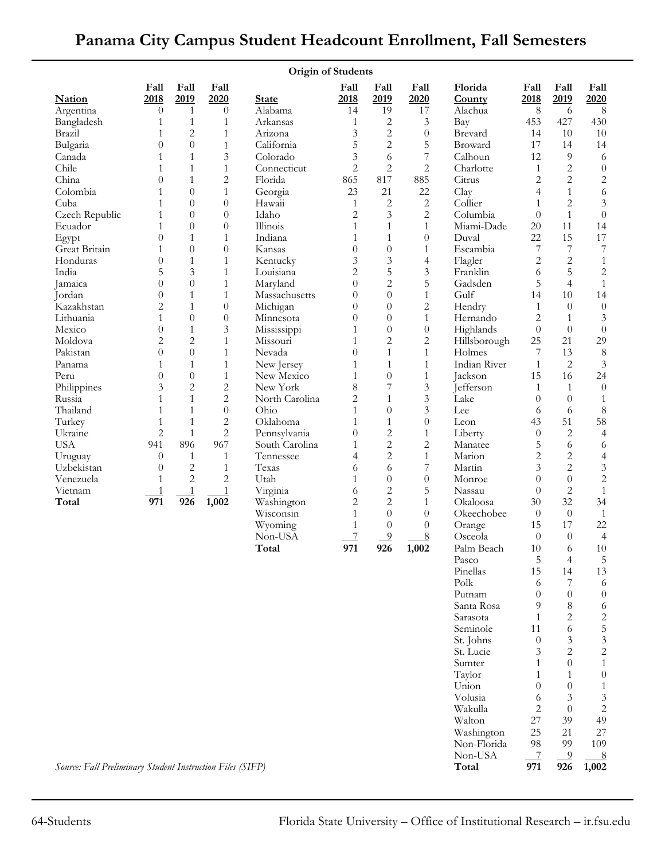| <b>Origin of Students</b>                                 |                       |                              |                                  |                                |                                |                                  |                                |                    |                     |                                |                              |
|-----------------------------------------------------------|-----------------------|------------------------------|----------------------------------|--------------------------------|--------------------------------|----------------------------------|--------------------------------|--------------------|---------------------|--------------------------------|------------------------------|
|                                                           | Fall                  | Fall                         | Fall                             |                                | Fall                           | Fall                             | Fall                           | Florida            | Fall                | Fall                           | Fall                         |
| <b>Nation</b>                                             | 2018                  | 2019                         | 2020                             | <b>State</b>                   | 2018                           | 2019                             | 2020                           | County             | 2018                | 2019                           | 2020                         |
| Argentina                                                 | $\theta$              | $\mathbf{1}$                 | $\theta$                         | Alabama                        | 14                             | 19                               | 17                             | Alachua            | 8                   | 6                              | 8                            |
| Bangladesh                                                | 1                     | $\mathbf{1}$                 | $\mathbf{1}$                     | Arkansas                       | $\mathbf{1}$                   | 2                                | 3                              | Bay                | 453                 | 427                            | 430                          |
| Brazil                                                    | 1                     | $\overline{c}$               | $\mathbf{1}$                     | Arizona                        | $\mathfrak{Z}$                 | $\overline{c}$                   | $\boldsymbol{0}$               | Brevard            | 14                  | 10                             | 10                           |
| Bulgaria                                                  | $\overline{0}$        | $\overline{0}$               | $\mathbf{1}$                     | California                     | 5                              | $\overline{c}$                   | 5                              | Broward            | 17                  | 14                             | 14                           |
| Canada                                                    | 1                     | $\mathbf{1}$                 | $\mathfrak{Z}$                   | Colorado                       | 3                              | 6                                | $\overline{7}$                 | Calhoun            | 12                  | $\overline{9}$                 | 6                            |
| Chile                                                     | 1                     | $\mathbf{1}$                 | $\mathbf{1}$                     | Connecticut                    | $\overline{c}$                 | $\overline{c}$                   | $\overline{c}$                 | Charlotte          | $\mathbf{1}$        | $\overline{c}$                 | $\boldsymbol{0}$             |
| China                                                     | $\theta$              | $\mathbf{1}$                 | $\overline{c}$                   | Florida                        | 865                            | 817                              | 885<br>22                      | Citrus             | $\mathbf{2}$        | $\overline{2}$<br>$\mathbf{1}$ | $\sqrt{2}$                   |
| Colombia<br>Cuba                                          | 1<br>1                | $\boldsymbol{0}$<br>$\theta$ | $\mathbf{1}$<br>$\overline{0}$   | Georgia<br>Hawaii              | 23<br>$\mathbf{1}$             | 21<br>$\overline{c}$             | $\overline{c}$                 | Clay<br>Collier    | $\overline{4}$<br>1 | $\overline{2}$                 | $\sqrt{6}$<br>$\mathfrak{Z}$ |
| Czech Republic                                            | 1                     | $\boldsymbol{0}$             | $\overline{0}$                   | Idaho                          | 2                              | 3                                | $\mathbf{2}$                   | Columbia           | $\Omega$            | $\mathbf{1}$                   | $\boldsymbol{0}$             |
| Ecuador                                                   | 1                     | $\theta$                     | $\overline{0}$                   | Illinois                       | 1                              | $\mathbf{1}$                     | $\mathbf{1}$                   | Miami-Dade         | 20                  | 11                             | 14                           |
| Egypt                                                     | $\overline{0}$        | $\mathbf{1}$                 | $\mathbf{1}$                     | Indiana                        | 1                              | $\mathbf{1}$                     | $\theta$                       | Duval              | 22                  | 15                             | 17                           |
| Great Britain                                             | 1                     | $\boldsymbol{0}$             | $\overline{0}$                   | Kansas                         | $\overline{0}$                 | $\theta$                         | $\mathbf{1}$                   | Escambia           | 7                   | 7                              | $\boldsymbol{7}$             |
| Honduras                                                  | $\overline{0}$        | $\mathbf{1}$                 | $\mathbf{1}$                     | Kentucky                       | 3                              | 3                                | $\overline{4}$                 | Flagler            | $\overline{c}$      | $\overline{c}$                 | $\mathbf{1}$                 |
| India                                                     | 5                     | 3                            | $\mathbf{1}$                     | Louisiana                      | $\overline{c}$                 | 5                                | 3                              | Franklin           | 6                   | 5                              | $\sqrt{2}$                   |
| Jamaica                                                   | $\overline{0}$        | $\boldsymbol{0}$             | $\mathbf{1}$                     | Maryland                       | $\boldsymbol{0}$               | $\overline{c}$                   | 5                              | Gadsden            | 5                   | $\overline{4}$                 | $\mathbf{1}$                 |
| Jordan                                                    | $\overline{0}$        | $\mathbf{1}$                 | $\mathbf{1}$                     | Massachusetts                  | $\overline{0}$                 | $\overline{0}$                   | $\mathbf{1}$                   | Gulf               | 14                  | 10                             | 14                           |
| Kazakhstan                                                | 2                     | $\mathbf{1}$                 | $\boldsymbol{0}$                 | Michigan                       | $\overline{0}$                 | $\overline{0}$                   | $\mathbf{2}$                   | Hendry             | 1                   | $\theta$                       | $\theta$                     |
| Lithuania                                                 | 1                     | $\boldsymbol{0}$             | $\boldsymbol{0}$                 | Minnesota                      | $\overline{0}$                 | $\overline{0}$                   | $\mathbf{1}$                   | Hernando           | 2                   | $\mathbf{1}$                   | 3                            |
| Mexico                                                    | 0                     | $\mathbf{1}$                 | $\mathfrak{Z}$                   | Mississippi                    | $\mathbf{1}$                   | $\boldsymbol{0}$                 | $\boldsymbol{0}$               | Highlands          | $\overline{0}$      | $\theta$                       | $\boldsymbol{0}$             |
| Moldova                                                   | $\overline{c}$        | $\overline{c}$               | $\mathbf{1}$                     | Missouri                       | $\mathbf{1}$                   | $\overline{c}$                   | $\overline{2}$                 | Hillsborough       | 25                  | 21                             | 29                           |
| Pakistan                                                  | 0                     | $\theta$                     | $\mathbf{1}$                     | Nevada                         | $\overline{0}$                 | $\mathbf{1}$                     | $\mathbf{1}$                   | Holmes             | 7                   | 13                             | $\,8\,$                      |
| Panama                                                    | 1                     | $\mathbf{1}$                 | $\mathbf{1}$                     | New Jersey                     | 1                              | $\mathbf{1}$                     | $\mathbf{1}$                   | Indian River       | $\mathbf{1}$        | $\mathbf{2}$                   | $\mathfrak{Z}$               |
| Peru                                                      | $\theta$              | $\theta$                     | $\mathbf{1}$                     | New Mexico                     | 1                              | $\boldsymbol{0}$                 | $\mathbf{1}$                   | Jackson            | 15                  | 16                             | 24                           |
| Philippines                                               | 3                     | $\overline{c}$               | $\overline{c}$                   | New York                       | 8                              | $\overline{7}$                   | $\mathfrak{Z}$                 | Jefferson          | 1                   | 1                              | $\theta$                     |
| Russia                                                    | 1                     | $\mathbf{1}$                 | $\overline{c}$                   | North Carolina                 | 2                              | $\mathbf{1}$                     | 3                              | Lake               | $\Omega$            | $\theta$                       | $\mathbf{1}$                 |
| Thailand                                                  | 1                     | $\mathbf{1}$                 | $\boldsymbol{0}$                 | Ohio                           | 1                              | $\theta$                         | 3                              | Lee                | 6                   | 6                              | $\,8\,$                      |
| Turkey                                                    | $\mathbf{1}$          | $\mathbf{1}$                 | $\overline{c}$<br>$\overline{c}$ | Oklahoma                       | 1                              | $\mathbf{1}$                     | $\theta$                       | Leon               | 43                  | 51                             | 58                           |
| Ukraine<br><b>USA</b>                                     | $\overline{c}$<br>941 | $\mathbf{1}$<br>896          | 967                              | Pennsylvania<br>South Carolina | $\overline{0}$<br>$\mathbf{1}$ | $\overline{c}$<br>$\overline{c}$ | $\mathbf{1}$<br>$\overline{c}$ | Liberty<br>Manatee | $\theta$<br>5       | $\mathbf{2}$<br>6              | $\overline{4}$<br>6          |
| Uruguay                                                   | $\theta$              | $\mathbf{1}$                 | $\mathbf{1}$                     | Tennessee                      | 4                              | $\overline{2}$                   | $\mathbf{1}$                   | Marion             | $\mathbf{2}$        | $\mathbf{2}$                   | $\overline{4}$               |
| Uzbekistan                                                | $\theta$              | 2                            | $\mathbf{1}$                     | Texas                          | 6                              | 6                                | $\overline{\mathcal{I}}$       | Martin             | 3                   | $\overline{2}$                 | $\mathfrak{Z}$               |
| Venezuela                                                 | 1                     | $\overline{c}$               | $\overline{2}$                   | Utah                           | 1                              | $\boldsymbol{0}$                 | $\boldsymbol{0}$               | Monroe             | $\overline{0}$      | $\overline{0}$                 | $\sqrt{2}$                   |
| Vietnam                                                   | 1                     | $\overline{1}$               | $\mathbf{1}$                     | Virginia                       | 6                              | $\overline{c}$                   | 5                              | Nassau             | $\theta$            | $\overline{2}$                 | $\mathbf{1}$                 |
| Total                                                     | 971                   | 926                          | 1,002                            | Washington                     | $\overline{c}$                 | $\overline{2}$                   | $\mathbf{1}$                   | Okaloosa           | 30                  | 32                             | 34                           |
|                                                           |                       |                              |                                  | Wisconsin                      | 1                              | $\theta$                         | $\theta$                       | Okeechobee         | $\theta$            | $\theta$                       | $\mathbf{1}$                 |
|                                                           |                       |                              |                                  | Wyoming                        | $\mathbf{1}$                   | $\boldsymbol{0}$                 | $\theta$                       | Orange             | 15                  | 17                             | $22\,$                       |
|                                                           |                       |                              |                                  | Non-USA                        | $\overline{7}$                 | $\overline{9}$                   | 8                              | Osceola            | $\theta$            | $\theta$                       | $\overline{4}$               |
|                                                           |                       |                              |                                  | Total                          | 971                            | 926                              | 1,002                          | Palm Beach         | $10\,$              | 6                              | $10\,$                       |
|                                                           |                       |                              |                                  |                                |                                |                                  |                                | Pasco              | 5                   | 4                              | 5                            |
|                                                           |                       |                              |                                  |                                |                                |                                  |                                | Pinellas           | 15                  | 14                             | 13                           |
|                                                           |                       |                              |                                  |                                |                                |                                  |                                | Polk               | 6                   | 7                              | 6                            |
|                                                           |                       |                              |                                  |                                |                                |                                  |                                | Putnam             | $\Omega$            | $\theta$                       | $\theta$                     |
|                                                           |                       |                              |                                  |                                |                                |                                  |                                | Santa Rosa         | 9                   | 8                              | 6                            |
|                                                           |                       |                              |                                  |                                |                                |                                  |                                | Sarasota           | 1                   | 2                              | $\sqrt{2}$                   |
|                                                           |                       |                              |                                  |                                |                                |                                  |                                | Seminole           | 11                  | 6                              | $\overline{5}$               |
|                                                           |                       |                              |                                  |                                |                                |                                  |                                | St. Johns          | $\theta$            | 3                              | $\mathfrak{Z}$               |
|                                                           |                       |                              |                                  |                                |                                |                                  |                                | St. Lucie          | 3                   | $\overline{2}$<br>$\theta$     | $\mathbf{2}$<br>$\mathbf{1}$ |
|                                                           |                       |                              |                                  |                                |                                |                                  |                                | Sumter<br>Taylor   | 1<br>1              | 1                              | $\boldsymbol{0}$             |
|                                                           |                       |                              |                                  |                                |                                |                                  |                                | Union              | $\Omega$            | $\overline{0}$                 | $\mathbf{1}$                 |
|                                                           |                       |                              |                                  |                                |                                |                                  |                                | Volusia            | 6                   | 3                              | 3                            |
|                                                           |                       |                              |                                  |                                |                                |                                  |                                | Wakulla            | 2                   | $\theta$                       | $\sqrt{2}$                   |
|                                                           |                       |                              |                                  |                                |                                |                                  |                                | Walton             | 27                  | 39                             | 49                           |
|                                                           |                       |                              |                                  |                                |                                |                                  |                                | Washington         | 25                  | 21                             | $27\,$                       |
|                                                           |                       |                              |                                  |                                |                                |                                  |                                | Non-Florida        | 98                  | 99                             | 109                          |
|                                                           |                       |                              |                                  |                                |                                |                                  |                                | Non-USA            | 7                   | 9                              | <u>8</u>                     |
| Source: Fall Preliminary Student Instruction Files (SIFP) |                       |                              |                                  |                                |                                |                                  |                                | Total              | 971                 | 926                            | 1,002                        |

## **Panama City Campus Student Headcount Enrollment, Fall Semesters**